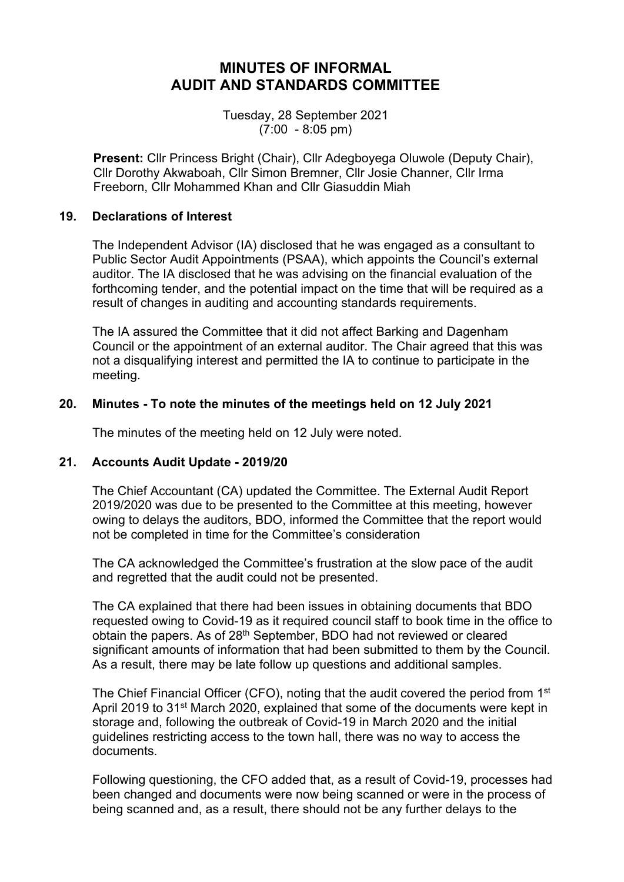## **MINUTES OF INFORMAL AUDIT AND STANDARDS COMMITTEE**

Tuesday, 28 September 2021 (7:00 - 8:05 pm)

**Present:** Cllr Princess Bright (Chair), Cllr Adegboyega Oluwole (Deputy Chair), Cllr Dorothy Akwaboah, Cllr Simon Bremner, Cllr Josie Channer, Cllr Irma Freeborn, Cllr Mohammed Khan and Cllr Giasuddin Miah

#### **19. Declarations of Interest**

The Independent Advisor (IA) disclosed that he was engaged as a consultant to Public Sector Audit Appointments (PSAA), which appoints the Council's external auditor. The IA disclosed that he was advising on the financial evaluation of the forthcoming tender, and the potential impact on the time that will be required as a result of changes in auditing and accounting standards requirements.

The IA assured the Committee that it did not affect Barking and Dagenham Council or the appointment of an external auditor. The Chair agreed that this was not a disqualifying interest and permitted the IA to continue to participate in the meeting.

### **20. Minutes - To note the minutes of the meetings held on 12 July 2021**

The minutes of the meeting held on 12 July were noted.

### **21. Accounts Audit Update - 2019/20**

The Chief Accountant (CA) updated the Committee. The External Audit Report 2019/2020 was due to be presented to the Committee at this meeting, however owing to delays the auditors, BDO, informed the Committee that the report would not be completed in time for the Committee's consideration

The CA acknowledged the Committee's frustration at the slow pace of the audit and regretted that the audit could not be presented.

The CA explained that there had been issues in obtaining documents that BDO requested owing to Covid-19 as it required council staff to book time in the office to obtain the papers. As of 28th September, BDO had not reviewed or cleared significant amounts of information that had been submitted to them by the Council. As a result, there may be late follow up questions and additional samples.

The Chief Financial Officer (CFO), noting that the audit covered the period from 1<sup>st</sup> April 2019 to 31st March 2020, explained that some of the documents were kept in storage and, following the outbreak of Covid-19 in March 2020 and the initial guidelines restricting access to the town hall, there was no way to access the documents.

Following questioning, the CFO added that, as a result of Covid-19, processes had been changed and documents were now being scanned or were in the process of being scanned and, as a result, there should not be any further delays to the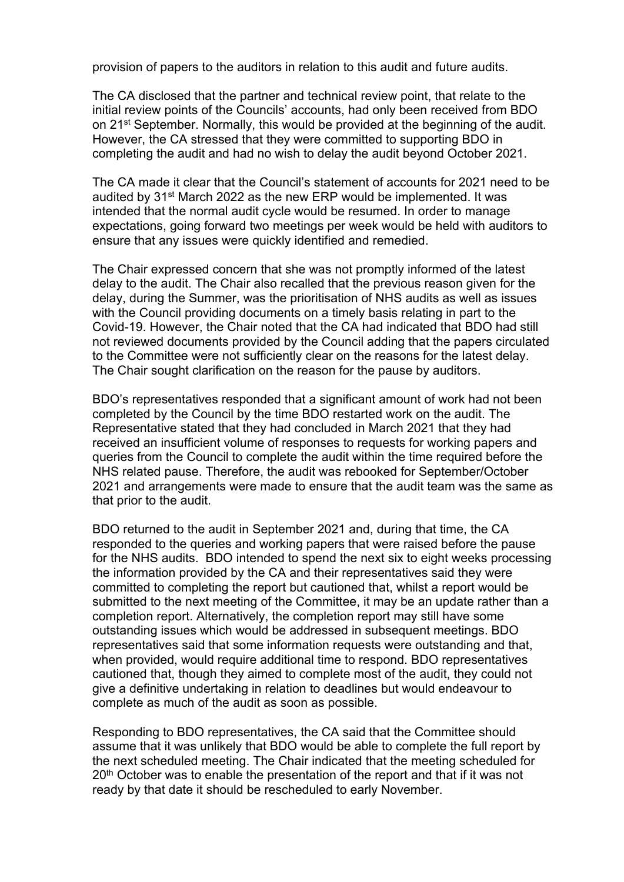provision of papers to the auditors in relation to this audit and future audits.

The CA disclosed that the partner and technical review point, that relate to the initial review points of the Councils' accounts, had only been received from BDO on 21st September. Normally, this would be provided at the beginning of the audit. However, the CA stressed that they were committed to supporting BDO in completing the audit and had no wish to delay the audit beyond October 2021.

The CA made it clear that the Council's statement of accounts for 2021 need to be audited by 31st March 2022 as the new ERP would be implemented. It was intended that the normal audit cycle would be resumed. In order to manage expectations, going forward two meetings per week would be held with auditors to ensure that any issues were quickly identified and remedied.

The Chair expressed concern that she was not promptly informed of the latest delay to the audit. The Chair also recalled that the previous reason given for the delay, during the Summer, was the prioritisation of NHS audits as well as issues with the Council providing documents on a timely basis relating in part to the Covid-19. However, the Chair noted that the CA had indicated that BDO had still not reviewed documents provided by the Council adding that the papers circulated to the Committee were not sufficiently clear on the reasons for the latest delay. The Chair sought clarification on the reason for the pause by auditors.

BDO's representatives responded that a significant amount of work had not been completed by the Council by the time BDO restarted work on the audit. The Representative stated that they had concluded in March 2021 that they had received an insufficient volume of responses to requests for working papers and queries from the Council to complete the audit within the time required before the NHS related pause. Therefore, the audit was rebooked for September/October 2021 and arrangements were made to ensure that the audit team was the same as that prior to the audit.

BDO returned to the audit in September 2021 and, during that time, the CA responded to the queries and working papers that were raised before the pause for the NHS audits. BDO intended to spend the next six to eight weeks processing the information provided by the CA and their representatives said they were committed to completing the report but cautioned that, whilst a report would be submitted to the next meeting of the Committee, it may be an update rather than a completion report. Alternatively, the completion report may still have some outstanding issues which would be addressed in subsequent meetings. BDO representatives said that some information requests were outstanding and that, when provided, would require additional time to respond. BDO representatives cautioned that, though they aimed to complete most of the audit, they could not give a definitive undertaking in relation to deadlines but would endeavour to complete as much of the audit as soon as possible.

Responding to BDO representatives, the CA said that the Committee should assume that it was unlikely that BDO would be able to complete the full report by the next scheduled meeting. The Chair indicated that the meeting scheduled for 20<sup>th</sup> October was to enable the presentation of the report and that if it was not ready by that date it should be rescheduled to early November.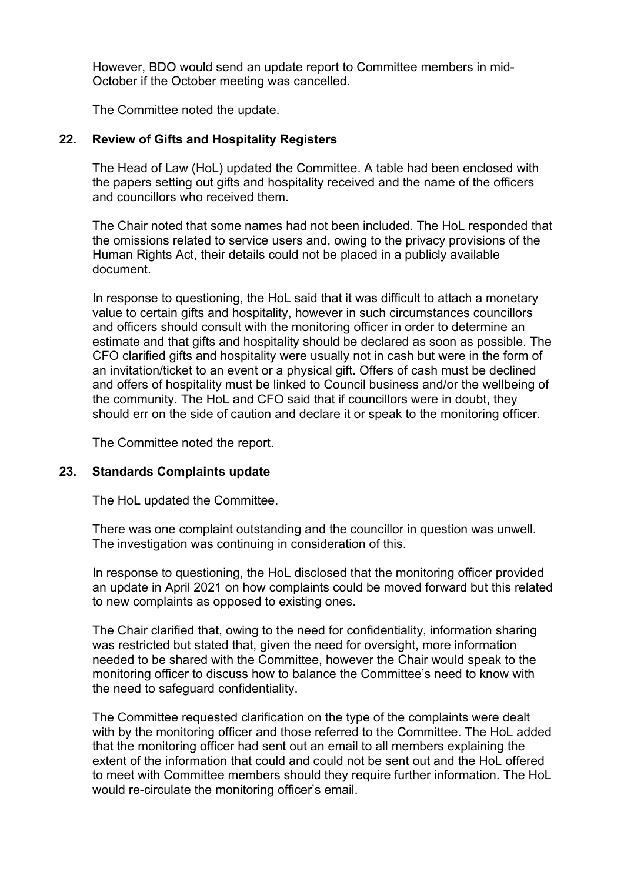However, BDO would send an update report to Committee members in mid-October if the October meeting was cancelled.

The Committee noted the update.

### **22. Review of Gifts and Hospitality Registers**

The Head of Law (HoL) updated the Committee. A table had been enclosed with the papers setting out gifts and hospitality received and the name of the officers and councillors who received them.

The Chair noted that some names had not been included. The HoL responded that the omissions related to service users and, owing to the privacy provisions of the Human Rights Act, their details could not be placed in a publicly available document.

In response to questioning, the HoL said that it was difficult to attach a monetary value to certain gifts and hospitality, however in such circumstances councillors and officers should consult with the monitoring officer in order to determine an estimate and that gifts and hospitality should be declared as soon as possible. The CFO clarified gifts and hospitality were usually not in cash but were in the form of an invitation/ticket to an event or a physical gift. Offers of cash must be declined and offers of hospitality must be linked to Council business and/or the wellbeing of the community. The HoL and CFO said that if councillors were in doubt, they should err on the side of caution and declare it or speak to the monitoring officer.

The Committee noted the report.

### **23. Standards Complaints update**

The HoL updated the Committee.

There was one complaint outstanding and the councillor in question was unwell. The investigation was continuing in consideration of this.

In response to questioning, the HoL disclosed that the monitoring officer provided an update in April 2021 on how complaints could be moved forward but this related to new complaints as opposed to existing ones.

The Chair clarified that, owing to the need for confidentiality, information sharing was restricted but stated that, given the need for oversight, more information needed to be shared with the Committee, however the Chair would speak to the monitoring officer to discuss how to balance the Committee's need to know with the need to safeguard confidentiality.

The Committee requested clarification on the type of the complaints were dealt with by the monitoring officer and those referred to the Committee. The HoL added that the monitoring officer had sent out an email to all members explaining the extent of the information that could and could not be sent out and the HoL offered to meet with Committee members should they require further information. The HoL would re-circulate the monitoring officer's email.